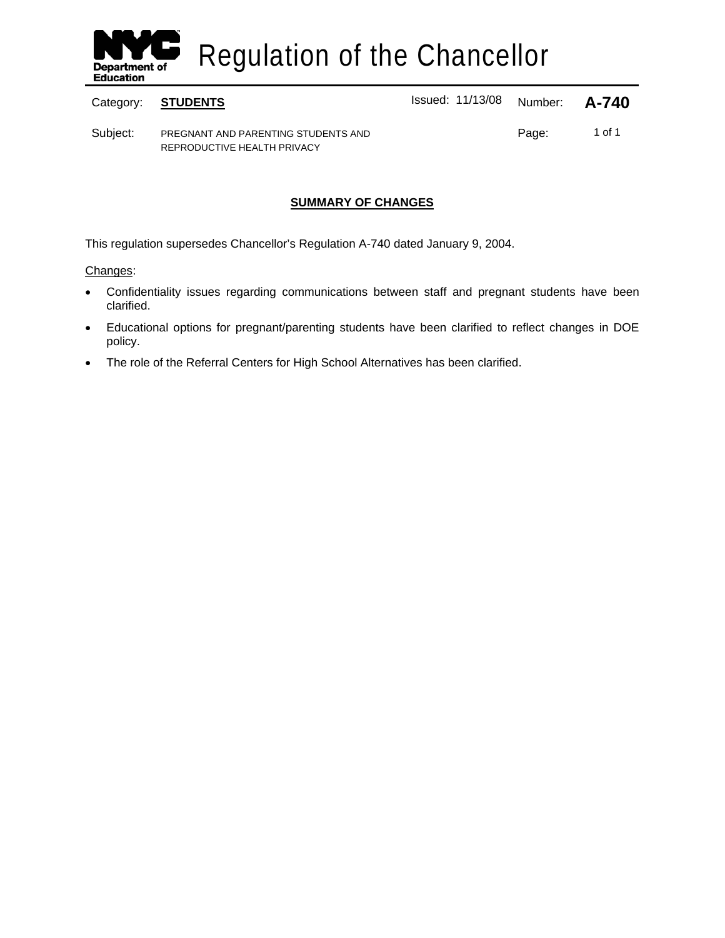

Regulation of the Chancellor

Category: **STUDENTS ISSUE 2018** Issued: 11/13/08 Number: **A-740** 

Subject: PREGNANT AND PARENTING STUDENTS AND REPRODUCTIVE HEALTH PRIVACY

Page: 1 of 1

## **SUMMARY OF CHANGES**

This regulation supersedes Chancellor's Regulation A-740 dated January 9, 2004.

Changes:

- Confidentiality issues regarding communications between staff and pregnant students have been clarified.
- Educational options for pregnant/parenting students have been clarified to reflect changes in DOE policy.
- The role of the Referral Centers for High School Alternatives has been clarified.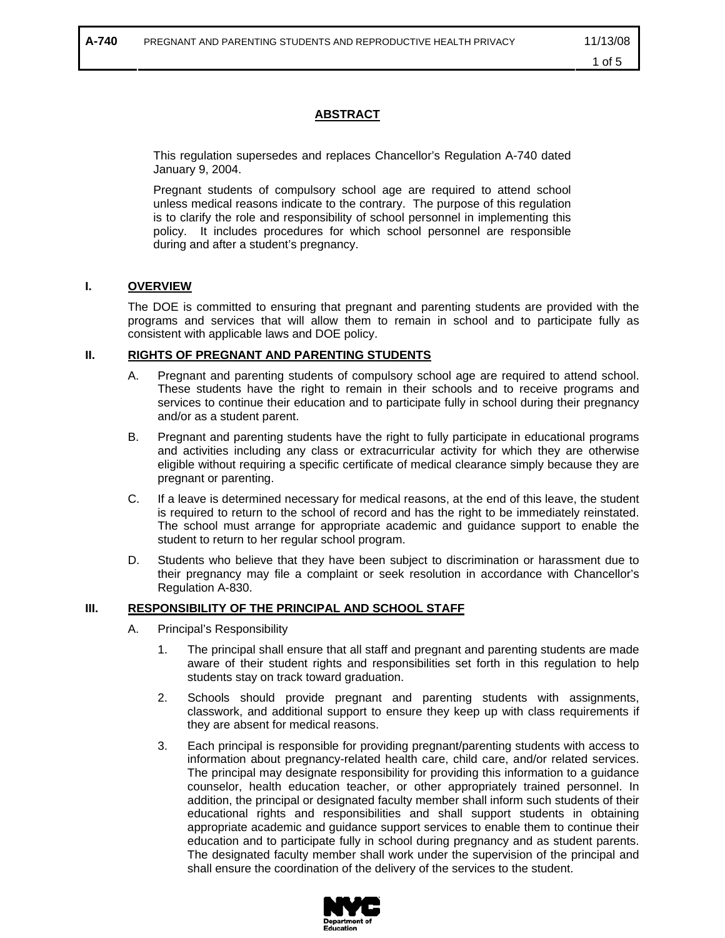### **ABSTRACT**

This regulation supersedes and replaces Chancellor's Regulation A-740 dated January 9, 2004.

Pregnant students of compulsory school age are required to attend school unless medical reasons indicate to the contrary. The purpose of this regulation is to clarify the role and responsibility of school personnel in implementing this policy. It includes procedures for which school personnel are responsible during and after a student's pregnancy.

#### **I. OVERVIEW**

The DOE is committed to ensuring that pregnant and parenting students are provided with the programs and services that will allow them to remain in school and to participate fully as consistent with applicable laws and DOE policy.

#### **II. RIGHTS OF PREGNANT AND PARENTING STUDENTS**

- A. Pregnant and parenting students of compulsory school age are required to attend school. These students have the right to remain in their schools and to receive programs and services to continue their education and to participate fully in school during their pregnancy and/or as a student parent.
- B. Pregnant and parenting students have the right to fully participate in educational programs and activities including any class or extracurricular activity for which they are otherwise eligible without requiring a specific certificate of medical clearance simply because they are pregnant or parenting.
- C. If a leave is determined necessary for medical reasons, at the end of this leave, the student is required to return to the school of record and has the right to be immediately reinstated. The school must arrange for appropriate academic and guidance support to enable the student to return to her regular school program.
- D. Students who believe that they have been subject to discrimination or harassment due to their pregnancy may file a complaint or seek resolution in accordance with Chancellor's Regulation A-830.

#### **III. RESPONSIBILITY OF THE PRINCIPAL AND SCHOOL STAFF**

- A. Principal's Responsibility
	- 1. The principal shall ensure that all staff and pregnant and parenting students are made aware of their student rights and responsibilities set forth in this regulation to help students stay on track toward graduation.
	- 2. Schools should provide pregnant and parenting students with assignments, classwork, and additional support to ensure they keep up with class requirements if they are absent for medical reasons.
	- 3. Each principal is responsible for providing pregnant/parenting students with access to information about pregnancy-related health care, child care, and/or related services. The principal may designate responsibility for providing this information to a guidance counselor, health education teacher, or other appropriately trained personnel. In addition, the principal or designated faculty member shall inform such students of their educational rights and responsibilities and shall support students in obtaining appropriate academic and guidance support services to enable them to continue their education and to participate fully in school during pregnancy and as student parents. The designated faculty member shall work under the supervision of the principal and shall ensure the coordination of the delivery of the services to the student.

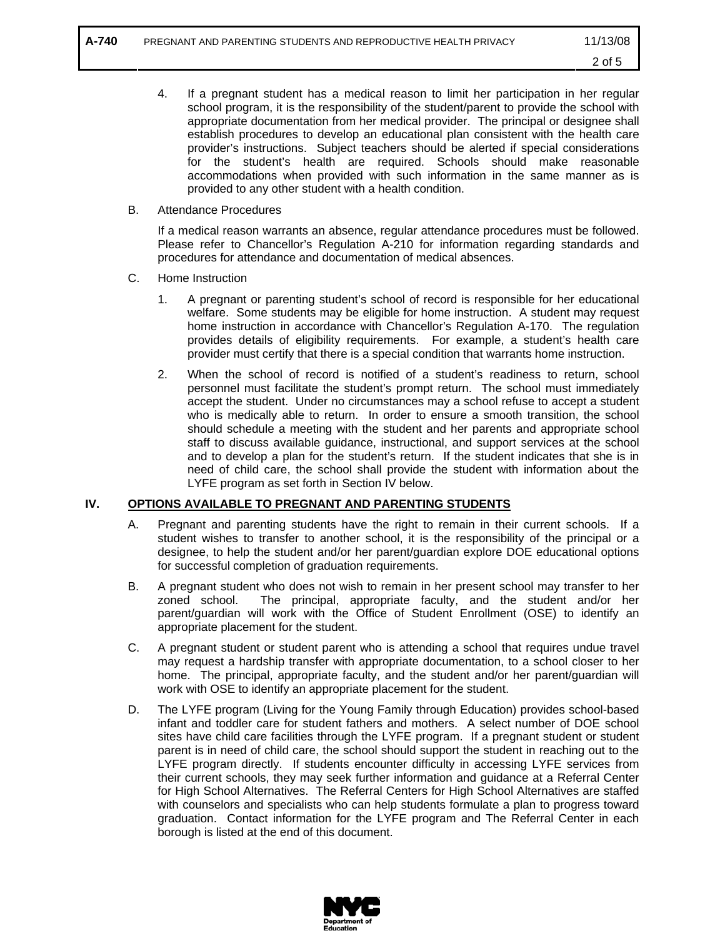- 4. If a pregnant student has a medical reason to limit her participation in her regular school program, it is the responsibility of the student/parent to provide the school with appropriate documentation from her medical provider. The principal or designee shall establish procedures to develop an educational plan consistent with the health care provider's instructions. Subject teachers should be alerted if special considerations for the student's health are required. Schools should make reasonable accommodations when provided with such information in the same manner as is provided to any other student with a health condition.
- B. Attendance Procedures

If a medical reason warrants an absence, regular attendance procedures must be followed. Please refer to Chancellor's Regulation A-210 for information regarding standards and procedures for attendance and documentation of medical absences.

- C. Home Instruction
	- 1. A pregnant or parenting student's school of record is responsible for her educational welfare. Some students may be eligible for home instruction. A student may request home instruction in accordance with Chancellor's Regulation A-170. The regulation provides details of eligibility requirements. For example, a student's health care provider must certify that there is a special condition that warrants home instruction.
	- 2. When the school of record is notified of a student's readiness to return, school personnel must facilitate the student's prompt return. The school must immediately accept the student. Under no circumstances may a school refuse to accept a student who is medically able to return. In order to ensure a smooth transition, the school should schedule a meeting with the student and her parents and appropriate school staff to discuss available guidance, instructional, and support services at the school and to develop a plan for the student's return. If the student indicates that she is in need of child care, the school shall provide the student with information about the LYFE program as set forth in Section IV below.

#### **IV. OPTIONS AVAILABLE TO PREGNANT AND PARENTING STUDENTS**

- A. Pregnant and parenting students have the right to remain in their current schools. If a student wishes to transfer to another school, it is the responsibility of the principal or a designee, to help the student and/or her parent/guardian explore DOE educational options for successful completion of graduation requirements.
- B. A pregnant student who does not wish to remain in her present school may transfer to her zoned school. The principal, appropriate faculty, and the student and/or her parent/guardian will work with the Office of Student Enrollment (OSE) to identify an appropriate placement for the student.
- C. A pregnant student or student parent who is attending a school that requires undue travel may request a hardship transfer with appropriate documentation, to a school closer to her home. The principal, appropriate faculty, and the student and/or her parent/guardian will work with OSE to identify an appropriate placement for the student.
- D. The LYFE program (Living for the Young Family through Education) provides school-based infant and toddler care for student fathers and mothers. A select number of DOE school sites have child care facilities through the LYFE program. If a pregnant student or student parent is in need of child care, the school should support the student in reaching out to the LYFE program directly. If students encounter difficulty in accessing LYFE services from their current schools, they may seek further information and guidance at a Referral Center for High School Alternatives. The Referral Centers for High School Alternatives are staffed with counselors and specialists who can help students formulate a plan to progress toward graduation. Contact information for the LYFE program and The Referral Center in each borough is listed at the end of this document.

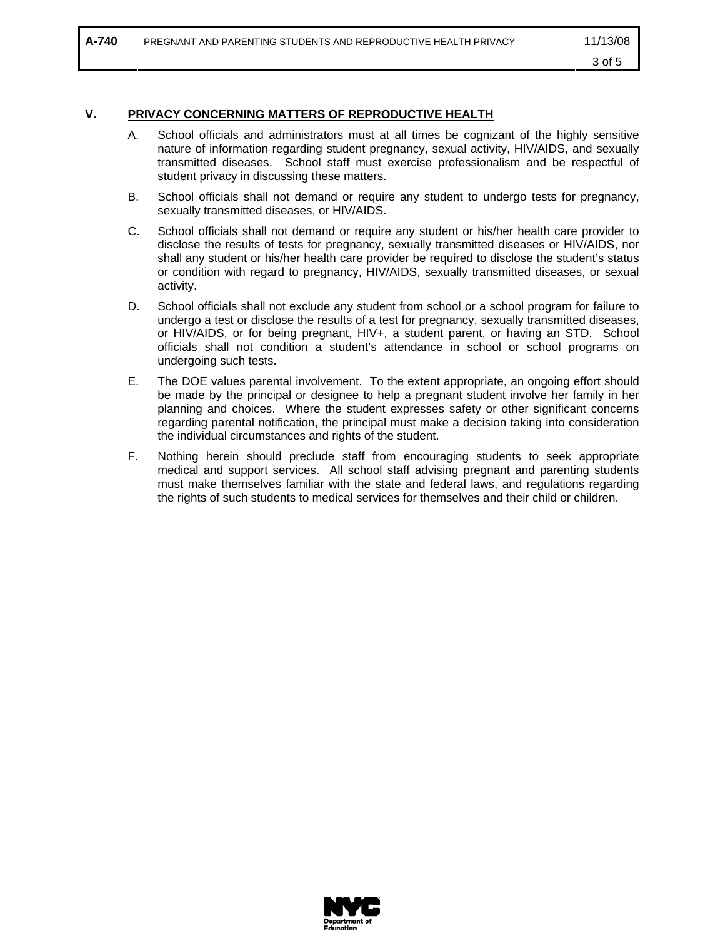### **V. PRIVACY CONCERNING MATTERS OF REPRODUCTIVE HEALTH**

- A. School officials and administrators must at all times be cognizant of the highly sensitive nature of information regarding student pregnancy, sexual activity, HIV/AIDS, and sexually transmitted diseases. School staff must exercise professionalism and be respectful of student privacy in discussing these matters.
- B. School officials shall not demand or require any student to undergo tests for pregnancy, sexually transmitted diseases, or HIV/AIDS.
- C. School officials shall not demand or require any student or his/her health care provider to disclose the results of tests for pregnancy, sexually transmitted diseases or HIV/AIDS, nor shall any student or his/her health care provider be required to disclose the student's status or condition with regard to pregnancy, HIV/AIDS, sexually transmitted diseases, or sexual activity.
- D. School officials shall not exclude any student from school or a school program for failure to undergo a test or disclose the results of a test for pregnancy, sexually transmitted diseases, or HIV/AIDS, or for being pregnant, HIV+, a student parent, or having an STD. School officials shall not condition a student's attendance in school or school programs on undergoing such tests.
- E. The DOE values parental involvement. To the extent appropriate, an ongoing effort should be made by the principal or designee to help a pregnant student involve her family in her planning and choices. Where the student expresses safety or other significant concerns regarding parental notification, the principal must make a decision taking into consideration the individual circumstances and rights of the student.
- F. Nothing herein should preclude staff from encouraging students to seek appropriate medical and support services. All school staff advising pregnant and parenting students must make themselves familiar with the state and federal laws, and regulations regarding the rights of such students to medical services for themselves and their child or children.

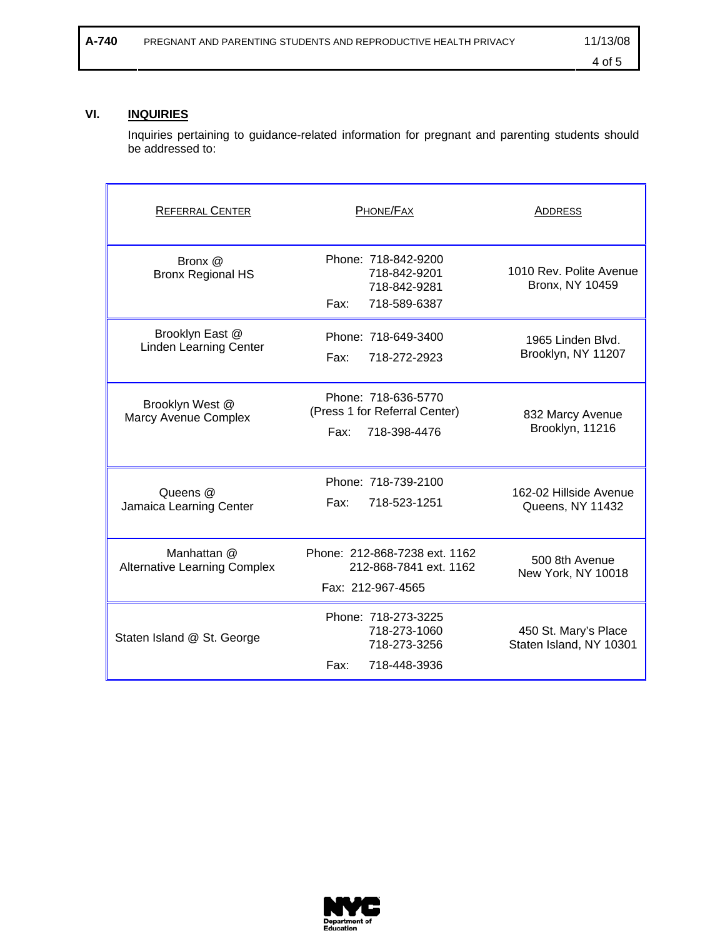# **VI. INQUIRIES**

Inquiries pertaining to guidance-related information for pregnant and parenting students should be addressed to:

| <b>REFERRAL CENTER</b>                             | PHONE/FAX                                                                    | ADDRESS                                         |
|----------------------------------------------------|------------------------------------------------------------------------------|-------------------------------------------------|
| Bronx @<br><b>Bronx Regional HS</b>                | Phone: 718-842-9200<br>718-842-9201<br>718-842-9281<br>718-589-6387<br>Fax:  | 1010 Rev. Polite Avenue<br>Bronx, NY 10459      |
| Brooklyn East @<br><b>Linden Learning Center</b>   | Phone: 718-649-3400<br>Fax:<br>718-272-2923                                  | 1965 Linden Blvd.<br>Brooklyn, NY 11207         |
| Brooklyn West @<br>Marcy Avenue Complex            | Phone: 718-636-5770<br>(Press 1 for Referral Center)<br>718-398-4476<br>Fax: | 832 Marcy Avenue<br>Brooklyn, 11216             |
| Queens @<br>Jamaica Learning Center                | Phone: 718-739-2100<br>718-523-1251<br>Fax:                                  | 162-02 Hillside Avenue<br>Queens, NY 11432      |
| Manhattan @<br><b>Alternative Learning Complex</b> | Phone: 212-868-7238 ext. 1162<br>212-868-7841 ext. 1162<br>Fax: 212-967-4565 | 500 8th Avenue<br>New York, NY 10018            |
| Staten Island @ St. George                         | Phone: 718-273-3225<br>718-273-1060<br>718-273-3256<br>Fax:<br>718-448-3936  | 450 St. Mary's Place<br>Staten Island, NY 10301 |